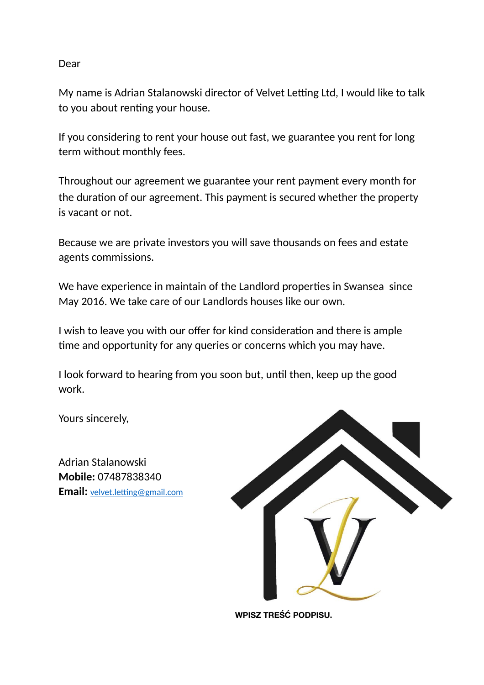### Dear

My name is Adrian Stalanowski director of Velvet Letting Ltd, I would like to talk to you about renting your house.

If you considering to rent your house out fast, we guarantee you rent for long term without monthly fees.

Throughout our agreement we guarantee your rent payment every month for the duration of our agreement. This payment is secured whether the property is vacant or not.

Because we are private investors you will save thousands on fees and estate agents commissions.

We have experience in maintain of the Landlord properties in Swansea since May 2016. We take care of our Landlords houses like our own.

I wish to leave you with our offer for kind consideration and there is ample time and opportunity for any queries or concerns which you may have.

I look forward to hearing from you soon but, until then, keep up the good work.

Yours sincerely,

Adrian Stalanowski **Mobile:** 07487838340 **Email:** velvet.letting@gmail.com



**WPISZ TREŚĆ PODPISU.**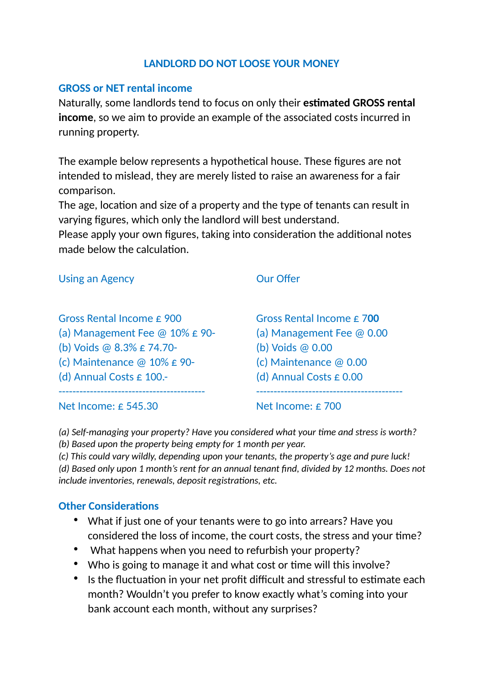## **LANDLORD DO NOT LOOSE YOUR MONEY**

## **GROSS or NET rental income**

Naturally, some landlords tend to focus on only their **estimated GROSS rental income**, so we aim to provide an example of the associated costs incurred in running property.

The example below represents a hypothetical house. These figures are not intended to mislead, they are merely listed to raise an awareness for a fair comparison.

The age, location and size of a property and the type of tenants can result in varying figures, which only the landlord will best understand.

Please apply your own figures, taking into consideration the additional notes made below the calculation.

Using an Agency **Our Offer** 

Gross Rental Income £ 900 (a) Management Fee @ 10% £ 90- (b) Voids @ 8.3% £ 74.70- (c) Maintenance @ 10% £ 90- (d) Annual Costs £ 100.-

Gross Rental Income £ 7**00** (a) Management Fee @ 0.00 (b) Voids @ 0.00 (c) Maintenance @ 0.00 (d) Annual Costs  $\epsilon$  0.00 ------------------------------------------

Net Income: £ 545.30

------------------------------------------

Net Income: £ 700

*(a) Self-managing your property? Have you considered what your time and stress is worth?* 

*(b) Based upon the property being empty for 1 month per year.* 

*(c) This could vary wildly, depending upon your tenants, the property's age and pure luck! (d) Based only upon 1 month's rent for an annual tenant find, divided by 12 months. Does not include inventories, renewals, deposit registrations, etc.* 

# **Other Considerations**

- What if just one of your tenants were to go into arrears? Have you considered the loss of income, the court costs, the stress and your time?
- What happens when you need to refurbish your property?
- Who is going to manage it and what cost or time will this involve?
- Is the fluctuation in your net profit difficult and stressful to estimate each month? Wouldn't you prefer to know exactly what's coming into your bank account each month, without any surprises?